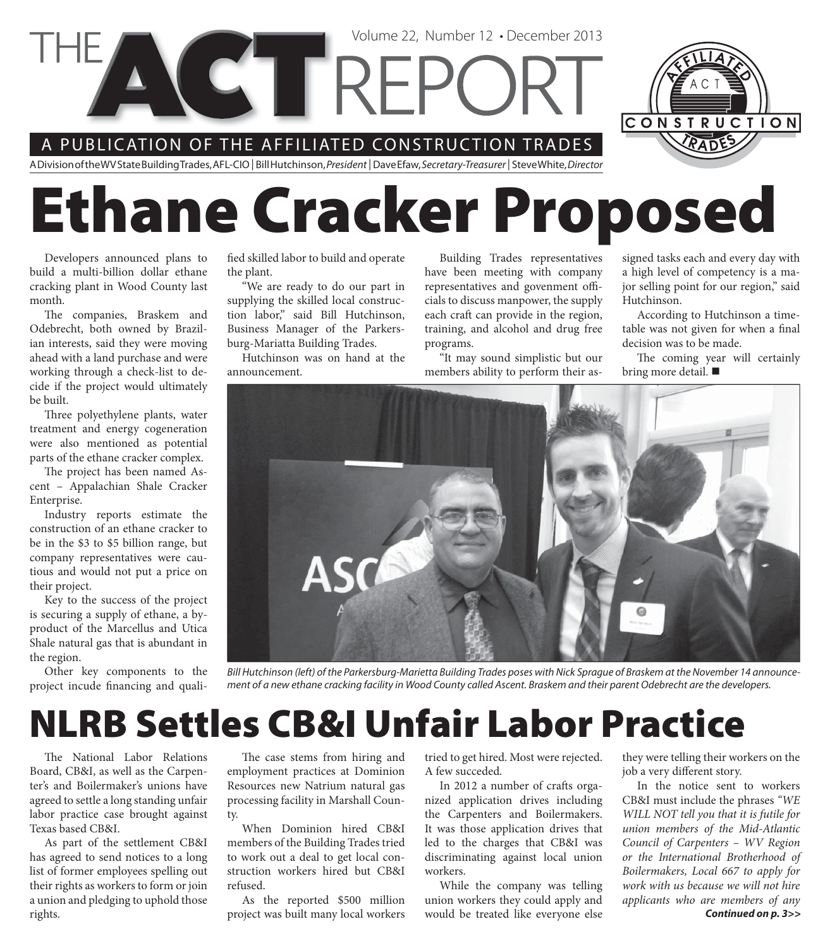



# **Ethane Cracker Proposed**

Developers announced plans to build a multi-billion dollar ethane cracking plant in Wood County last month.

The companies, Braskem and Odebrecht, both owned by Brazilian interests, said they were moving ahead with a land purchase and were working through a check-list to decide if the project would ultimately be built.

Three polyethylene plants, water treatment and energy cogeneration were also mentioned as potential parts of the ethane cracker complex.

The project has been named Ascent – Appalachian Shale Cracker Enterprise.

Industry reports estimate the construction of an ethane cracker to be in the \$3 to \$5 billion range, but company representatives were cautious and would not put a price on their project.

Key to the success of the project is securing a supply of ethane, a byproduct of the Marcellus and Utica Shale natural gas that is abundant in the region.

Other key components to the project incude financing and qualified skilled labor to build and operate the plant.

"We are ready to do our part in supplying the skilled local construction labor," said Bill Hutchinson, Business Manager of the Parkersburg-Mariatta Building Trades.

Hutchinson was on hand at the announcement.

Building Trades representatives have been meeting with company representatives and govenment officials to discuss manpower, the supply each craft can provide in the region, training, and alcohol and drug free programs.

Volume 22, Number 12 • December 2013

"It may sound simplistic but our members ability to perform their assigned tasks each and every day with a high level of competency is a major selling point for our region," said Hutchinson.

According to Hutchinson a timetable was not given for when a final decision was to be made.

The coming year will certainly bring more detail.



Bill Hutchinson (left) of the Parkersburg-Marietta Building Trades poses with Nick Sprague of Braskem at the November 14 announcement of a new ethane cracking facility in Wood County called Ascent. Braskem and their parent Odebrecht are the developers.

#### **NLRB Settles CB&I Unfair Labor Practice**

The National Labor Relations Board, CB&I, as well as the Carpenter's and Boilermaker's unions have agreed to settle a long standing unfair labor practice case brought against Texas based CB&I.

As part of the settlement CB&I has agreed to send notices to a long list of former employees spelling out their rights as workers to form or join a union and pledging to uphold those rights.

The case stems from hiring and employment practices at Dominion Resources new Natrium natural gas processing facility in Marshall County.

When Dominion hired CB&I members of the Building Trades tried to work out a deal to get local construction workers hired but CB&I refused.

As the reported \$500 million project was built many local workers tried to get hired. Most were rejected. A few succeded.

In 2012 a number of crafts organized application drives including the Carpenters and Boilermakers. It was those application drives that led to the charges that CB&I was discriminating against local union workers.

While the company was telling union workers they could apply and would be treated like everyone else

they were telling their workers on the job a very different story.

In the notice sent to workers CB&I must include the phrases *"WE WILL NOT tell you that it is futile for union members of the Mid-Atlantic Council of Carpenters – WV Region or the International Brotherhood of Boilermakers, Local 667 to apply for work with us because we will not hire applicants who are members of any Continued on p. 3>>*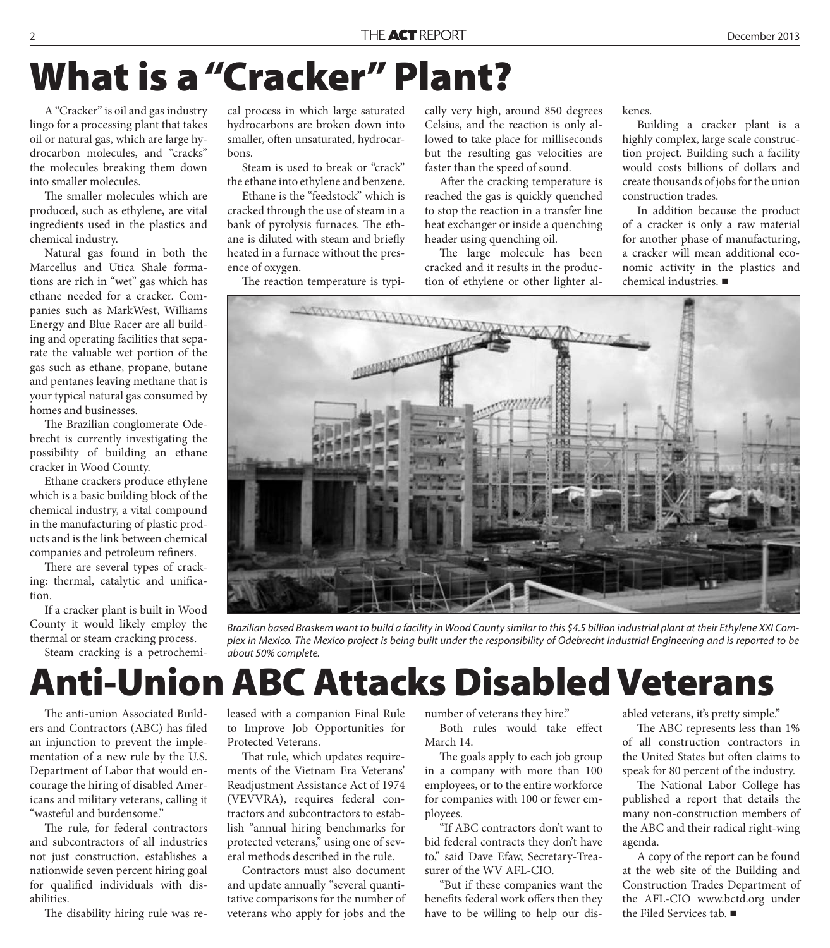### **What is a "Cracker" Plant?**

A "Cracker" is oil and gas industry lingo for a processing plant that takes oil or natural gas, which are large hydrocarbon molecules, and "cracks" the molecules breaking them down into smaller molecules.

The smaller molecules which are produced, such as ethylene, are vital ingredients used in the plastics and chemical industry.

Natural gas found in both the Marcellus and Utica Shale formations are rich in "wet" gas which has ethane needed for a cracker. Companies such as MarkWest, Williams Energy and Blue Racer are all building and operating facilities that separate the valuable wet portion of the gas such as ethane, propane, butane and pentanes leaving methane that is your typical natural gas consumed by homes and businesses.

The Brazilian conglomerate Odebrecht is currently investigating the possibility of building an ethane cracker in Wood County.

Ethane crackers produce ethylene which is a basic building block of the chemical industry, a vital compound in the manufacturing of plastic products and is the link between chemical companies and petroleum refiners.

There are several types of cracking: thermal, catalytic and unification.

If a cracker plant is built in Wood County it would likely employ the thermal or steam cracking process.

Steam cracking is a petrochemi-

cal process in which large saturated hydrocarbons are broken down into smaller, often unsaturated, hydrocarbons.

Steam is used to break or "crack" the ethane into ethylene and benzene.

Ethane is the "feedstock" which is cracked through the use of steam in a bank of pyrolysis furnaces. The ethane is diluted with steam and briefly heated in a furnace without the presence of oxygen.

The reaction temperature is typi-

cally very high, around 850 degrees Celsius, and the reaction is only allowed to take place for milliseconds but the resulting gas velocities are faster than the speed of sound.

After the cracking temperature is reached the gas is quickly quenched to stop the reaction in a transfer line heat exchanger or inside a quenching header using quenching oil.

The large molecule has been cracked and it results in the production of ethylene or other lighter alkenes.

Building a cracker plant is a highly complex, large scale construction project. Building such a facility would costs billions of dollars and create thousands of jobs for the union construction trades.

In addition because the product of a cracker is only a raw material for another phase of manufacturing, a cracker will mean additional economic activity in the plastics and chemical industries.



Brazilian based Braskem want to build a facility in Wood County similar to this \$4.5 billion industrial plant at their Ethylene XXI Complex in Mexico. The Mexico project is being built under the responsibility of Odebrecht Industrial Engineering and is reported to be about 50% complete.

#### **Anti-Union ABC Attacks Disabled Veterans**

The anti-union Associated Builders and Contractors (ABC) has filed an injunction to prevent the implementation of a new rule by the U.S. Department of Labor that would encourage the hiring of disabled Americans and military veterans, calling it "wasteful and burdensome."

The rule, for federal contractors and subcontractors of all industries not just construction, establishes a nationwide seven percent hiring goal for qualified individuals with disabilities.

The disability hiring rule was re-

leased with a companion Final Rule to Improve Job Opportunities for Protected Veterans.

That rule, which updates requirements of the Vietnam Era Veterans' Readjustment Assistance Act of 1974 (VEVVRA), requires federal contractors and subcontractors to establish "annual hiring benchmarks for protected veterans," using one of several methods described in the rule.

Contractors must also document and update annually "several quantitative comparisons for the number of veterans who apply for jobs and the

number of veterans they hire."

Both rules would take effect March 14.

The goals apply to each job group in a company with more than 100 employees, or to the entire workforce for companies with 100 or fewer employees.

"If ABC contractors don't want to bid federal contracts they don't have to," said Dave Efaw, Secretary-Treasurer of the WV AFL-CIO.

"But if these companies want the benefits federal work offers then they have to be willing to help our disabled veterans, it's pretty simple."

The ABC represents less than 1% of all construction contractors in the United States but often claims to speak for 80 percent of the industry.

The National Labor College has published a report that details the many non-construction members of the ABC and their radical right-wing agenda.

A copy of the report can be found at the web site of the Building and Construction Trades Department of the AFL-CIO www.bctd.org under the Filed Services tab.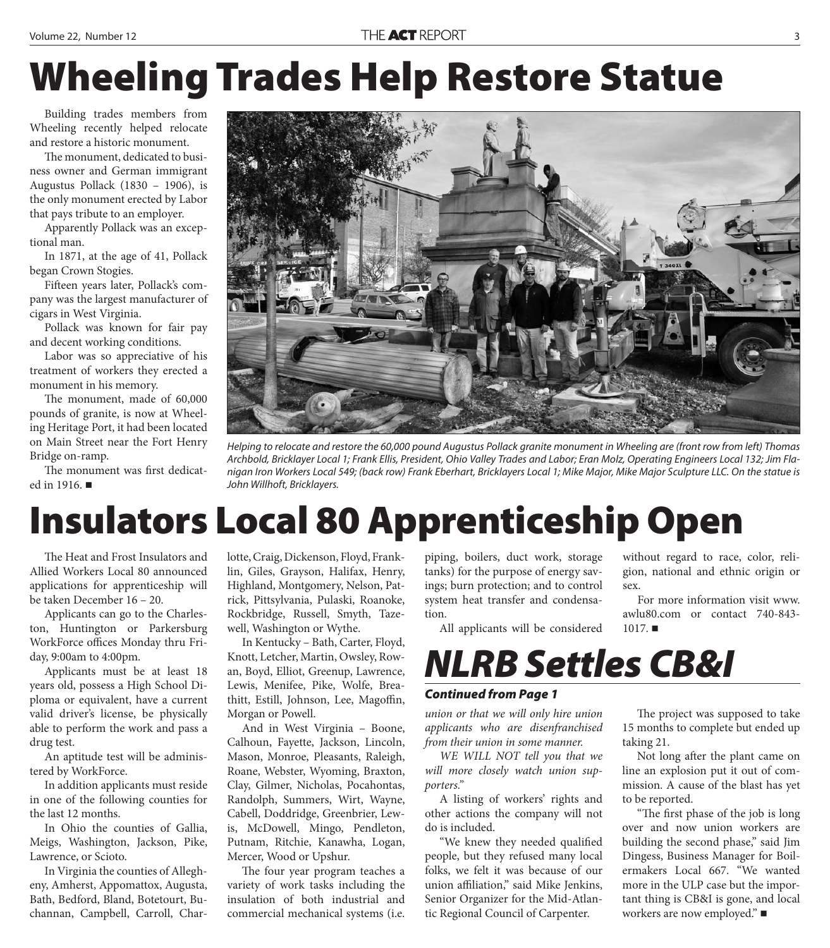# **Wheeling Trades Help Restore Statue**

Building trades members from Wheeling recently helped relocate and restore a historic monument.

The monument, dedicated to business owner and German immigrant Augustus Pollack (1830 – 1906), is the only monument erected by Labor that pays tribute to an employer.

Apparently Pollack was an exceptional man.

In 1871, at the age of 41, Pollack began Crown Stogies.

Fifteen years later, Pollack's company was the largest manufacturer of cigars in West Virginia.

Pollack was known for fair pay and decent working conditions.

Labor was so appreciative of his treatment of workers they erected a monument in his memory.

The monument, made of 60,000 pounds of granite, is now at Wheeling Heritage Port, it had been located on Main Street near the Fort Henry Bridge on-ramp.

The monument was first dedicated in 1916.



Helping to relocate and restore the 60,000 pound Augustus Pollack granite monument in Wheeling are (front row from left) Thomas Archbold, Bricklayer Local 1; Frank Ellis, President, Ohio Valley Trades and Labor; Eran Molz, Operating Engineers Local 132; Jim Flanigan Iron Workers Local 549; (back row) Frank Eberhart, Bricklayers Local 1; Mike Major, Mike Major Sculpture LLC. On the statue is John Willhoft, Bricklayers.

### **Insulators Local 80 Apprenticeship Open**

The Heat and Frost Insulators and Allied Workers Local 80 announced applications for apprenticeship will be taken December 16 – 20.

Applicants can go to the Charleston, Huntington or Parkersburg WorkForce offices Monday thru Friday, 9:00am to 4:00pm.

Applicants must be at least 18 years old, possess a High School Diploma or equivalent, have a current valid driver's license, be physically able to perform the work and pass a drug test.

An aptitude test will be administered by WorkForce.

In addition applicants must reside in one of the following counties for the last 12 months.

In Ohio the counties of Gallia, Meigs, Washington, Jackson, Pike, Lawrence, or Scioto.

In Virginia the counties of Allegheny, Amherst, Appomattox, Augusta, Bath, Bedford, Bland, Botetourt, Buchannan, Campbell, Carroll, Charlotte, Craig, Dickenson, Floyd, Franklin, Giles, Grayson, Halifax, Henry, Highland, Montgomery, Nelson, Patrick, Pittsylvania, Pulaski, Roanoke, Rockbridge, Russell, Smyth, Tazewell, Washington or Wythe.

In Kentucky – Bath, Carter, Floyd, Knott, Letcher, Martin, Owsley, Rowan, Boyd, Elliot, Greenup, Lawrence, Lewis, Menifee, Pike, Wolfe, Breathitt, Estill, Johnson, Lee, Magoffin, Morgan or Powell.

And in West Virginia – Boone, Calhoun, Fayette, Jackson, Lincoln, Mason, Monroe, Pleasants, Raleigh, Roane, Webster, Wyoming, Braxton, Clay, Gilmer, Nicholas, Pocahontas, Randolph, Summers, Wirt, Wayne, Cabell, Doddridge, Greenbrier, Lewis, McDowell, Mingo, Pendleton, Putnam, Ritchie, Kanawha, Logan, Mercer, Wood or Upshur.

The four year program teaches a variety of work tasks including the insulation of both industrial and commercial mechanical systems (i.e.

piping, boilers, duct work, storage tanks) for the purpose of energy savings; burn protection; and to control system heat transfer and condensation.

All applicants will be considered

without regard to race, color, religion, national and ethnic origin or sex.

For more information visit www. awlu80.com or contact 740-843-  $1017.$ 

#### *NLRB Settles CB&I*

#### *Continued from Page 1*

*union or that we will only hire union applicants who are disenfranchised from their union in some manner.*

*WE WILL NOT tell you that we will more closely watch union supporters."*

A listing of workers' rights and other actions the company will not do is included.

"We knew they needed qualified people, but they refused many local folks, we felt it was because of our union affiliation," said Mike Jenkins, Senior Organizer for the Mid-Atlantic Regional Council of Carpenter.

The project was supposed to take 15 months to complete but ended up taking 21.

Not long after the plant came on line an explosion put it out of commission. A cause of the blast has yet to be reported.

"The first phase of the job is long over and now union workers are building the second phase," said Jim Dingess, Business Manager for Boilermakers Local 667. "We wanted more in the ULP case but the important thing is CB&I is gone, and local workers are now employed." ■